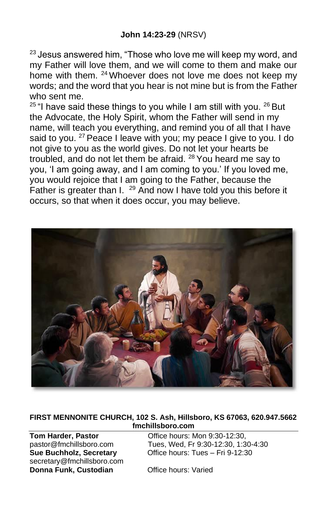<sup>23</sup> Jesus answered him, "Those who love me will keep my word, and my Father will love them, and we will come to them and make our home with them. <sup>24</sup> Whoever does not love me does not keep my words; and the word that you hear is not mine but is from the Father who sent me.

 $25$  "I have said these things to you while I am still with you.  $26$  But the Advocate, the Holy Spirit, whom the Father will send in my name, will teach you everything, and remind you of all that I have said to you. <sup>27</sup> Peace I leave with you; my peace I give to you. I do not give to you as the world gives. Do not let your hearts be troubled, and do not let them be afraid. <sup>28</sup> You heard me say to you, 'I am going away, and I am coming to you.' If you loved me, you would rejoice that I am going to the Father, because the Father is greater than I. <sup>29</sup> And now I have told you this before it occurs, so that when it does occur, you may believe.



**FIRST MENNONITE CHURCH, 102 S. Ash, Hillsboro, KS 67063, 620.947.5662 fmchillsboro.com**

**Sue Buchholz, Secretary** secretary@fmchillsboro.com **Donna Funk, Custodian Office hours: Varied** 

**Tom Harder, Pastor Consumediate Constrained Constrained Proportion**<br> **Tues. Wed. Fr 9:30-12:30. 1:3** Tues, Wed, Fr 9:30-12:30, 1:30-4:30<br>Office hours: Tues – Fri 9-12:30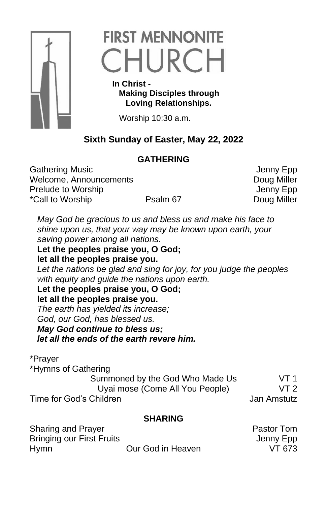

# **FIRST MENNONITE** CHURCH

 **In Christ - Making Disciples through Loving Relationships.**

Worship 10:30 a.m.

# **Sixth Sunday of Easter, May 22, 2022**

# **GATHERING**

Gathering Music<br>
Welcome, Announcements<br>
Welcome, Announcements Welcome, Announcements Prelude to Worship **Internal Contract Contract Contract Contract Contract Contract Contract Contract Contract Contract Contract Contract Contract Contract Contract Contract Contract Contract Contract Contract Contract Cont** \*Call to Worship **Psalm 67** Psalm 67 Doug Miller

*May God be gracious to us and bless us and make his face to shine upon us, that your way may be known upon earth, your saving power among all nations.*

**Let the peoples praise you, O God; let all the peoples praise you.** *Let the nations be glad and sing for joy, for you judge the peoples with equity and guide the nations upon earth.* **Let the peoples praise you, O God; let all the peoples praise you.** *The earth has yielded its increase;* 

*God, our God, has blessed us.*

#### *May God continue to bless us;*

*let all the ends of the earth revere him.*

### \*Prayer

\*Hymns of Gathering

Summoned by the God Who Made Us VT 1 Uyai mose (Come All You People) VT 2 Time for God's Children Jan Amstutz

## **SHARING**

| Sharing and Prayer               |                   | <b>Pastor Tom</b> |
|----------------------------------|-------------------|-------------------|
| <b>Bringing our First Fruits</b> |                   | Jenny Epp         |
| Hymn                             | Our God in Heaven | VT 673            |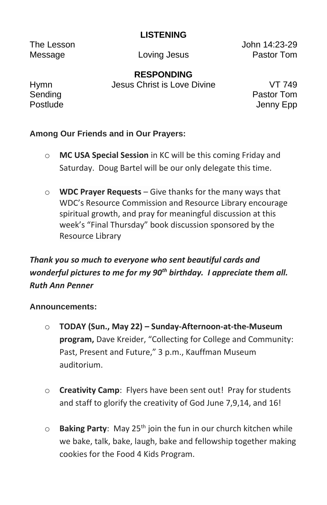### **LISTENING**

The Lesson John 14:23-29 Message **Loving Jesus Pastor Tom** 

**RESPONDING**

Hymn Jesus Christ is Love Divine VT 749

Sending **Pastor Tom** Postlude Jenny Epp

## **Among Our Friends and in Our Prayers:**

- o **MC USA Special Session** in KC will be this coming Friday and Saturday. Doug Bartel will be our only delegate this time.
- o **WDC Prayer Requests** Give thanks for the many ways that WDC's Resource Commission and Resource Library encourage spiritual growth, and pray for meaningful discussion at this week's "Final Thursday" book discussion sponsored by the Resource Library

# *Thank you so much to everyone who sent beautiful cards and wonderful pictures to me for my 90th birthday. I appreciate them all. Ruth Ann Penner*

#### **Announcements:**

- o **TODAY (Sun., May 22) – Sunday-Afternoon-at-the-Museum program,** Dave Kreider, "Collecting for College and Community: Past, Present and Future," 3 p.m., Kauffman Museum auditorium.
- o **Creativity Camp**: Flyers have been sent out! Pray for students and staff to glorify the creativity of God June 7,9,14, and 16!
- o **Baking Party**: May 25th join the fun in our church kitchen while we bake, talk, bake, laugh, bake and fellowship together making cookies for the Food 4 Kids Program.